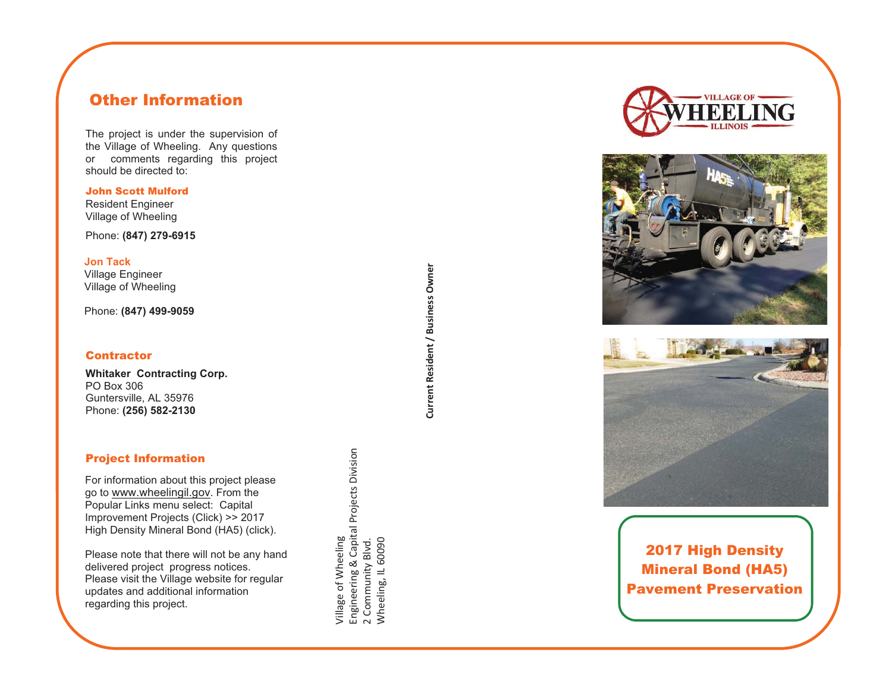# Other Information

The project is under the supervision of the Village of Wheeling. Any questions or comments regarding this project should be directed to:

John Scott Mulford Resident Engineer Village of Wheeling

Phone: **(847) 279-6915**

**Jon Tack** Village Engineer Village of Wheeling

Phone: **(847) 499-9059**

#### **Contractor**

**Whitaker Contracting Corp.**  PO Box 306 Guntersville, AL 35976 Phone: **(256) 582-2130**

## Project Information

For information about this project please go to www.wheelingil.gov. From the Popular Links menu select: Capital Improvement Projects (Click) >> 2017 High Density Mineral Bond (HA5) (click).

Please note that there will not be any hand delivered project progress notices. Please visit the Village website for regular updates and additional information regarding this project.

**Current Resident / Business Owner**  Current Resident / Business Owner

Village of Wheeling

village of Wheeling

Engineering & Capital Projects Division

2 Community Blvd. Wheeling, IL 60090

Engineering & Capital Projects Division<br>2 Community Blvd.<br>Wheeling, IL 60090







2017 High Density Mineral Bond (HA5) Pavement Preservation